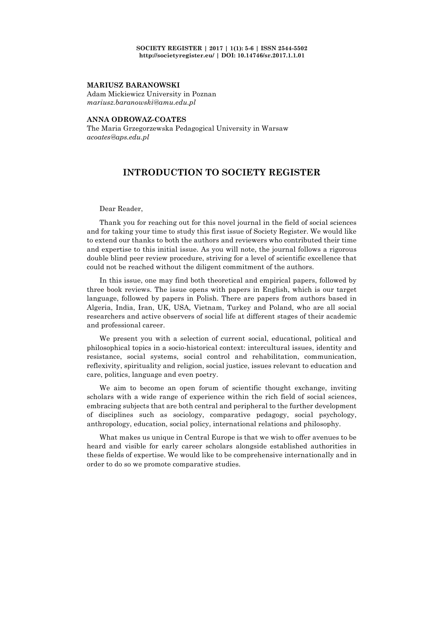## **MARIUSZ BARANOWSKI**

Adam Mickiewicz University in Poznan *mariusz.baranowski@amu.edu.pl*

## **ANNA ODROWAZ-COATES**

The Maria Grzegorzewska Pedagogical University in Warsaw *acoates@aps.edu.pl*

## **INTRODUCTION TO SOCIETY REGISTER**

## Dear Reader,

Thank you for reaching out for this novel journal in the field of social sciences and for taking your time to study this first issue of Society Register. We would like to extend our thanks to both the authors and reviewers who contributed their time and expertise to this initial issue. As you will note, the journal follows a rigorous double blind peer review procedure, striving for a level of scientific excellence that could not be reached without the diligent commitment of the authors.

In this issue, one may find both theoretical and empirical papers, followed by three book reviews. The issue opens with papers in English, which is our target language, followed by papers in Polish. There are papers from authors based in Algeria, India, Iran, UK, USA, Vietnam, Turkey and Poland, who are all social researchers and active observers of social life at different stages of their academic and professional career.

We present you with a selection of current social, educational, political and philosophical topics in a socio-historical context: intercultural issues, identity and resistance, social systems, social control and rehabilitation, communication, reflexivity, spirituality and religion, social justice, issues relevant to education and care, politics, language and even poetry.

We aim to become an open forum of scientific thought exchange, inviting scholars with a wide range of experience within the rich field of social sciences, embracing subjects that are both central and peripheral to the further development of disciplines such as sociology, comparative pedagogy, social psychology, anthropology, education, social policy, international relations and philosophy.

What makes us unique in Central Europe is that we wish to offer avenues to be heard and visible for early career scholars alongside established authorities in these fields of expertise. We would like to be comprehensive internationally and in order to do so we promote comparative studies.